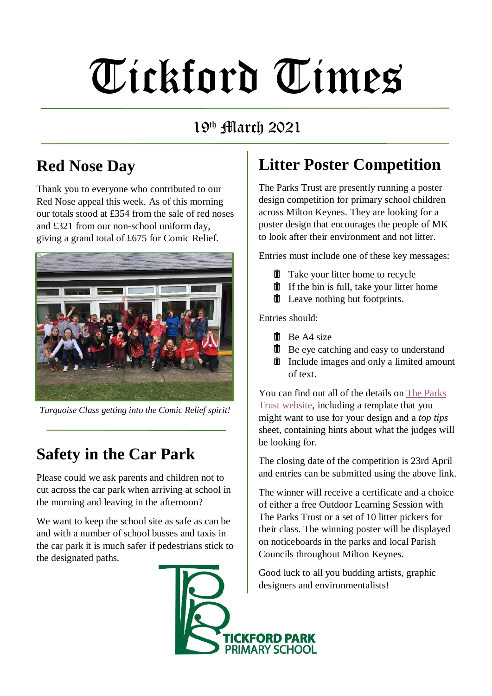# Tickford Times

#### 19<sup>th</sup> March 2021

# **Red Nose Day**

Thank you to everyone who contributed to our Red Nose appeal this week. As of this morning our totals stood at £354 from the sale of red noses and £321 from our non-school uniform day, giving a grand total of £675 for Comic Relief.



*Turquoise Class getting into the Comic Relief spirit!*

# **Safety in the Car Park**

Please could we ask parents and children not to cut across the car park when arriving at school in the morning and leaving in the afternoon?

We want to keep the school site as safe as can be and with a number of school busses and taxis in the car park it is much safer if pedestrians stick to the designated paths.

### **Litter Poster Competition**

The Parks Trust are presently running a poster design competition for primary school children across Milton Keynes. They are looking for a poster design that encourages the people of MK to look after their environment and not litter.

Entries must include one of these key messages:

- $\mathbf{\overline{w}}$  Take your litter home to recycle
- $\hat{\mathbb{I}}$  If the bin is full, take your litter home
- $\hat{\mathbf{\Pi}}$  Leave nothing but footprints.

Entries should:

- $\overline{\mathbf{m}}$  Be A4 size
- $\hat{I}$ Be eye catching and easy to understand
- $\overline{\mathbb{I}}$  Include images and only a limited amount of text.

You can find out all of the details on [The Parks](https://www.theparkstrust.com/get-involved/outdoor-learning/free-activities-and-resources/nature-challenges-and-projects/litter-poster-competition/)  [Trust website,](https://www.theparkstrust.com/get-involved/outdoor-learning/free-activities-and-resources/nature-challenges-and-projects/litter-poster-competition/) including a template that you might want to use for your design and a *top tips* sheet, containing hints about what the judges will be looking for.

The closing date of the competition is 23rd April and entries can be submitted using the above link.

The winner will receive a certificate and a choice of either a free Outdoor Learning Session with The Parks Trust or a set of 10 litter pickers for their class. The winning poster will be displayed on noticeboards in the parks and local Parish Councils throughout Milton Keynes.

Good luck to all you budding artists, graphic designers and environmentalists!